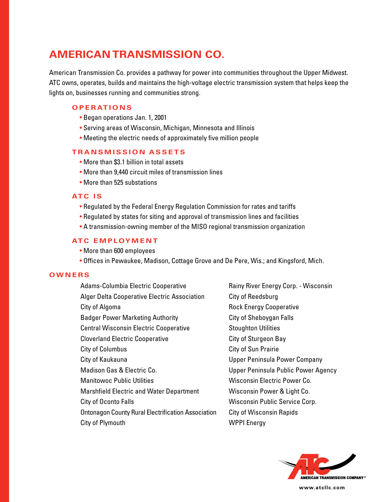# **AMERICAN TRANSMISSION CO.**

American Transmission Co. provides a pathway for power into communities throughout the Upper Midwest. ATC owns, operates, builds and maintains the high-voltage electric transmission system that helps keep the lights on, businesses running and communities strong.

## **OPERATIONS**

- Began operations Jan. 1, 2001
- Serving areas of Wisconsin, Michigan, Minnesota and Illinois
- Meeting the electric needs of approximately five million people

## **TRANSMISSION ASSETS**

- More than \$3.1 billion in total assets
- More than 9,440 circuit miles of transmission lines
- More than 525 substations

### **ATC IS**

- Regulated by the Federal Energy Regulation Commission for rates and tariffs
- Regulated by states for siting and approval of transmission lines and facilities
- A transmission-owning member of the MISO regional transmission organization

# **ATC EMPLOYMENT**

- More than 600 employees
- Offices in Pewaukee, Madison, Cottage Grove and De Pere, Wis.; and Kingsford, Mich.

#### **OWNERS**

Adams-Columbia Electric Cooperative Alger Delta Cooperative Electric Association City of Algoma Badger Power Marketing Authority Central Wisconsin Electric Cooperative Cloverland Electric Cooperative City of Columbus City of Kaukauna Madison Gas & Electric Co. Manitowoc Public Utilities Marshfield Electric and Water Department City of Oconto Falls Ontonagon County Rural Electrification Association City of Plymouth

Rainy River Energy Corp. - Wisconsin City of Reedsburg Rock Energy Cooperative City of Sheboygan Falls Stoughton Utilities City of Sturgeon Bay City of Sun Prairie Upper Peninsula Power Company Upper Peninsula Public Power Agency Wisconsin Electric Power Co. Wisconsin Power & Light Co. Wisconsin Public Service Corp. City of Wisconsin Rapids WPPI Energy



**www.atcllc.com**